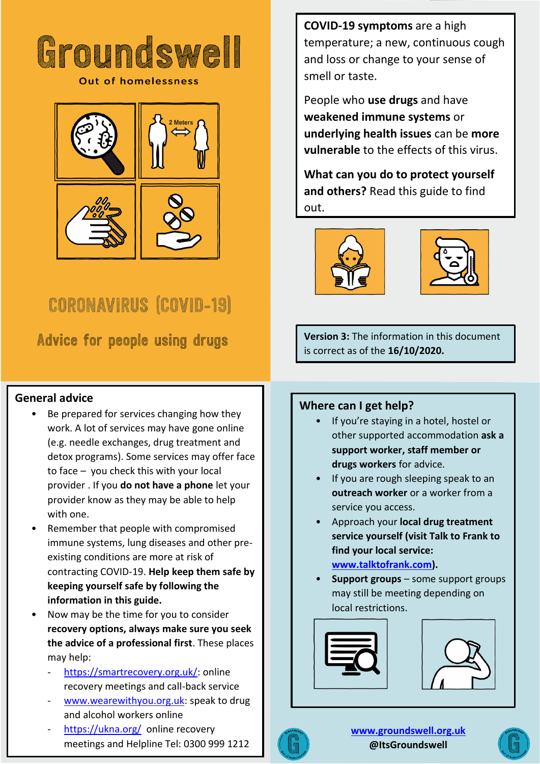

**Out of homelessness** 



# **CORONAVIRUS (COVID-19)**

**Advice for people using drugs** 

## **General advice**

- Be prepared for services changing how they work. A lot of services may have gone online (e.g. needle exchanges, drug treatment and detox programs). Some services may offer face to face – you check this with your local provider . If you **do not have a phone** let your provider know as they may be able to help with one.
- Remember that people with compromised immune systems, lung diseases and other preexisting conditions are more at risk of contracting COVID-19. **Help keep them safe by keeping yourself safe by following the information in this guide.**
- Now may be the time for you to consider **recovery options, always make sure you seek the advice of a professional first**. These places may help:
	- [https://smartrecovery.org.uk/:](https://smartrecovery.org.uk/) online recovery meetings and call-back service
	- [www.wearewithyou.org.uk:](http://www.wearewithyou.org.uk/) speak to drug and alcohol workers online
	- <https://ukna.org/>online recovery meetings and Helpline Tel: 0300 999 1212

**COVID-19 symptoms** are a high temperature; a new, continuous cough and loss or change to your sense of smell or taste.

People who **use drugs** and have **weakened immune systems** or **underlying health issues** can be **more vulnerable** to the effects of this virus.

**What can you do to protect yourself and others?** Read this guide to find out.





**Version 3:** The information in this document is correct as of the **16/10/2020.**

## **Where can I get help?**

- If you're staying in a hotel, hostel or other supported accommodation **ask a support worker, staff member or drugs workers** for advice.
- If you are rough sleeping speak to an **outreach worker** or a worker from a service you access.
- Approach your **local drug treatment service yourself (visit Talk to Frank to find your local service: [www.talktofrank.com\)](http://www.talktofrank.com/).**
- **Support groups** some support groups may still be meeting depending on local restrictions.